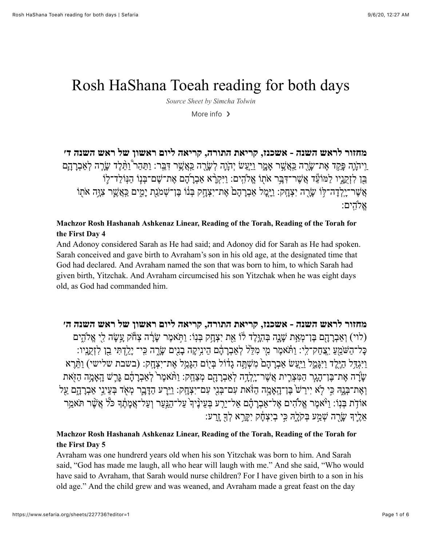# Rosh HaShana Toeah reading for both days

*Source Sheet by [Simcha Tolwin](https://www.sefaria.org/profile/simcha-tolwin)*

More info  $\rightarrow$ 

**מחזור לראש השנה - אשכנז, קריאת [התורה](https://www.sefaria.org/Machzor_Rosh_Hashanah_Ashkenaz_Linear,_Reading_of_the_Torah,_Reading_of_the_Torah_for_the_First_Day.4), קריאה ליום ראשון של ראש השנה ד׳** ַוְיהָׂוֶה פַּקַד אֶת־שָׂרֶה כַּאֲשֶׁר אָמֶר וַיַּעֲשׂ יְהָוֶה לְשָׂרָה כַּאֲשֶׁר דִּבֵּר: וַתַּהַר וַתֵּלֶד שָׂרֶה לְאַבְרָהָם ָבֵּן לזָקְנֵיו למּוֹעֶׁד אֲשֶׁר־ ִדְּבֵּ֣ר אֹתוֹ אֱלֹהִים: ויִּקְרָ֫א אַבְרֹהֵם אֶת־שֵׁם־בִּנָוֹ הנִוֹלד־לֶוֹ ֲא ֶשׁר־ָיֽ ְל ָדה־֥לּוֹ ָשָׂ֖רה יִ ְצָחֽק: ַוָיּ֤ ָמל אַ ְבָר ָה ֙ם ֶאת־יִ ְצָ֣חק ְבּ֔נוֹ ֶבּן־ ְשׁמַֹ֖נת יָ ִ֑מים ַכֲּֽא ֶ֛שׁר ִצָ֥וּה אֹ֖תוֹ אֵלהים:

#### **[Machzor Rosh Hashanah Ashkenaz Linear, Reading of the Torah, Reading of the Torah for](https://www.sefaria.org/Machzor_Rosh_Hashanah_Ashkenaz_Linear,_Reading_of_the_Torah,_Reading_of_the_Torah_for_the_First_Day.4) the First Day 4**

And Adonoy considered Sarah as He had said; and Adonoy did for Sarah as He had spoken. Sarah conceived and gave birth to Avraham's son in his old age, at the designated time that God had declared. And Avraham named the son that was born to him, to which Sarah had given birth, Yitzchak. And Avraham circumcised his son Yitzchak when he was eight days old, as God had commanded him.

**מחזור לראש השנה - אשכנז, קריאת [התורה](https://www.sefaria.org/Machzor_Rosh_Hashanah_Ashkenaz_Linear,_Reading_of_the_Torah,_Reading_of_the_Torah_for_the_First_Day.5), קריאה ליום ראשון של ראש השנה ה׳** (לוי) וְאַבְרַהֵם בֵּן־מְאֵת שָׁנֵה בְּהָוֵּלֵד לוֹ אֶת יִצְחֻק בְּנִוֹ: וַתְּאמֶר שַׂרָה צְחֹק עֲשׂה לִי אֱלֹהֶים ּכָּל־הַשֹּׁמֵעַ יִצְחַק־לִי: וַתּׂאמֶר מִי מִלֵּל לְאַבְרָהָם הֵינִיקָה בָנִים שָׂרֶה כִּי־ יָלֵדְתִּי בֵן לִזְקֶנְיו: וַיִּגְדַל הַיֶּלֶד וַיִּגָּמֵל וַיַּעַשׂ אַבְרָהָם מִשְׁתֶּה גָדוֹל בְּיָוֹם הִגְּמֵל אֶת־יִצְחָק: (בשבת שלישי) וַתֵּרֶא ָשַׂ֫רָה אֶת־בֵּן־הָגֶר הַמִּצְרֵית אֲשֶׁר־יָלְדָה לְאַבְרַהָם מְצַחֱק: וַתֹּאמֵר לְאַבְרָהָם גַּרֵשׁ הֲאֲמֶה הַזֹּאת וְאֶת־בָּנָהּ כִּי לְא יירשׁ בֵּן־הֵאמֵה הזֹּאת עם־בָּנִי עם־יצָחֱק: וייָרע הדַּבֶר מְאֹד בִעינִי אַבְרַהֶם עַל אוֹדֹת בִּנוֹ: ו<sup>ַ</sup>יֹּאמֵר אֱלֹהים אֱל־אבִרהם אל־יִרְע בִּעינֵיִדְ על־הִנּער וְעל־אֲמֹתַדְ כֹּל ְאֲשֶׁר תֹּאמִר  $\gamma$ יִ $\gamma$ ֶּךָ $\gamma$  יִשְּׁמַע בְּקִלָהּ כִּי ּבִיִצְחָ֫ק יִקֵּרָא לְדְּ זַרַע:

#### **[Machzor Rosh Hashanah Ashkenaz Linear, Reading of the Torah, Reading of the Torah for](https://www.sefaria.org/Machzor_Rosh_Hashanah_Ashkenaz_Linear,_Reading_of_the_Torah,_Reading_of_the_Torah_for_the_First_Day.5) the First Day 5**

Avraham was one hundrerd years old when his son Yitzchak was born to him. And Sarah said, "God has made me laugh, all who hear will laugh with me." And she said, "Who would have said to Avraham, that Sarah would nurse children? For I have given birth to a son in his old age." And the child grew and was weaned, and Avraham made a great feast on the day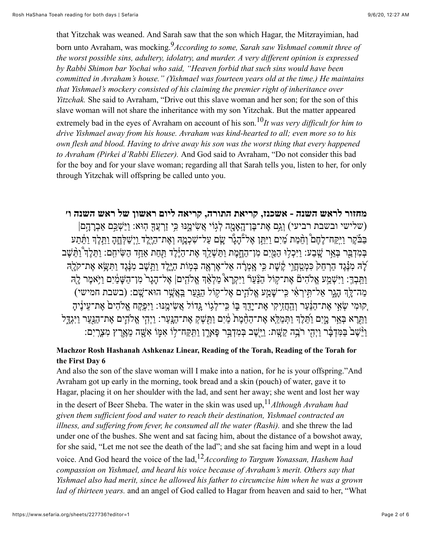that Yitzchak was weaned. And Sarah saw that the son which Hagar, the Mitzrayimian, had born unto Avraham, was mocking.9*According to some, Sarah saw Yishmael commit three of the worst possible sins, adultery, idolatry, and murder. A very different opinion is expressed by Rabbi Shimon bar Yochai who said, "Heaven forbid that such sins would have been committed in Avraham's house." (Yishmael was fourteen years old at the time.) He maintains that Yishmael's mockery consisted of his claiming the premier right of inheritance over Yitzchak.* She said to Avraham, "Drive out this slave woman and her son; for the son of this slave woman will not share the inheritance with my son Yitzchak. But the matter appeared extremely bad in the eyes of Avraham on account of his son.10*It was very difficult for him to drive Yishmael away from his house. Avraham was kind-hearted to all; even more so to his own flesh and blood. Having to drive away his son was the worst thing that every happened to Avraham (Pirkei d'Rabbi Eliezer).* And God said to Avraham, "Do not consider this bad for the boy and for your slave woman; regarding all that Sarah tells you, listen to her, for only through Yitzchak will offspring be called unto you.

## **מחזור לראש השנה - אשכנז, קריאת [התורה](https://www.sefaria.org/Machzor_Rosh_Hashanah_Ashkenaz_Linear,_Reading_of_the_Torah,_Reading_of_the_Torah_for_the_First_Day.6), קריאה ליום ראשון של ראש השנה ו׳**

(שלישי ובשבת רביעי) וְגֵם אֶת־בֶּן־הָאֲמֶה לְגִוֹי אֲשִׂימֵנּוּ כִּי זַרְעֲךָ הִוּא: וַיַּשָׁבֵּם אַבְרָהָם] ּבַּבֹּקֶר וַיִּקַח־לֶחֶם וְהֶמַת מַיִם וַיִּתֵּן אֶל־הָגָר שֶׂם עַל־שִׁכְמֶהּ וְאֶת־הַיֶּלֶד וַיְשַׁלְּחֶהָ וַתֵּלֶד וַחֵּת בְּמִדְבַּר בְּאֵ֣ר שֶׁבַע: וַיִּכְלוּ הַמֵּיִם מִן־הַחֱמֶת וַתַּשְׁלֵךְ אֶת־הַיֶּ֫לֶד תַּחֲח אַתַּד הַשִּׂיחִם: וַתֵּלֶךְ יַוֹתֵּשֶׁב ֹלָהּ מִנֶּּגֶד הַרְחֵק כִּמְטְַחֲוֵי קֶשֶׁת כִּי אָמְרָה אַל־אֶרְאֶה בְּמְוֹת הַיֶּלֶד וַתֲשֶׁב מִנֶּּגֶד וַתִּשָּׂא אֶת־קֹלֶה ַוַּתִּֽבְךָ: וַיִּשְׁמַע אֱלֹהִיםٌ אֶת־קוֹל הַנַּעַרֹּ וַיִּקְרָא מַלְאַׁךָ אֱלֹהָים| אֶל־הָגָר<sup>ו</sup> מִן־הַשַּׁמַ֫יִם וַיִּאמִר לה ַמַּה־לָּךְ הָגֶר אַל־תִּירְאִי כִּי־שָׁמַע אֱלֹהֶים אֶל־קוֹל הַנַּעַר בַּאֲשֶׁר הוּא־שָׁם: (בשבת חמישי) ַקוּמִי שְׂאִי אֶת־הַנַּעַר וְהַחֲזִיִקִי אֶת־יֵדֶךְ בִּוֹ כִּי־לְגוֹי גֲדוֹל אֲשִׂימֶנּוּ: וַיִּפְקָח אֱלֹהִים אֶת־עֵינֶיהָ וַתֵּרָא בְּאֵר מֳיִם וַתֵּלֶדְ וַתְּמַלֵּא אֶת־הַחֵּמָת מַׁיִם וַחַּשְׁקְ אֶת־הַנִּעַר: וַיְהִי אֱלֹהֶים אֶת־הַנַּעַר וַיִּגְדֶל וַיֵּשֶׁב בַּמִּדְבָּר וַיְהָי רֹבֶה קַשָּׁת: וַיֵּשֶׁב בְּמִדְבַּר פָּאָרֶן וַתִּקַּח־לַוֹ אִמֶּוֹ אִשָּׁה מֵאֶרֶץ מִצְרִיִם:

#### **[Machzor Rosh Hashanah Ashkenaz Linear, Reading of the Torah, Reading of the Torah for](https://www.sefaria.org/Machzor_Rosh_Hashanah_Ashkenaz_Linear,_Reading_of_the_Torah,_Reading_of_the_Torah_for_the_First_Day.6) the First Day 6**

And also the son of the slave woman will I make into a nation, for he is your offspring."And Avraham got up early in the morning, took bread and a skin (pouch) of water, gave it to Hagar, placing it on her shoulder with the lad, and sent her away; she went and lost her way in the desert of Beer Sheba. The water in the skin was used up,  $11$ *Although Avraham had given them sufficient food and water to reach their destination, Yishmael contracted an illness, and suffering from fever, he consumed all the water (Rashi).* and she threw the lad under one of the bushes. She went and sat facing him, about the distance of a bowshot away, for she said, "Let me not see the death of the lad"; and she sat facing him and wept in a loud voice. And God heard the voice of the lad,12*According to Targum Yonassan, Hashem had compassion on Yishmael, and heard his voice because of Avraham's merit. Others say that Yishmael also had merit, since he allowed his father to circumcise him when he was a grown lad of thirteen years.* and an angel of God called to Hagar from heaven and said to her, "What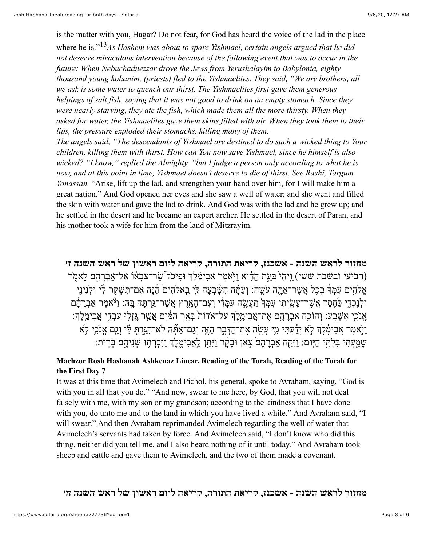is the matter with you, Hagar? Do not fear, for God has heard the voice of the lad in the place where he is."13*As Hashem was about to spare Yishmael, certain angels argued that he did not deserve miraculous intervention because of the following event that was to occur in the future: When Nebuchadnezzar drove the Jews from Yerushalayim to Babylonia, eighty thousand young kohanim, (priests) fled to the Yishmaelites. They said, "We are brothers, all we ask is some water to quench our thirst. The Yishmaelites first gave them generous helpings of salt fish, saying that it was not good to drink on an empty stomach. Since they were nearly starving, they ate the fish, which made them all the more thirsty. When they asked for water, the Yishmaelites gave them skins filled with air. When they took them to their lips, the pressure exploded their stomachs, killing many of them.*

*The angels said, "The descendants of Yishmael are destined to do such a wicked thing to Your children, killing them with thirst. How can You now save Yishmael, since he himself is also wicked? "I know," replied the Almighty, "but I judge a person only according to what he is now, and at this point in time, Yishmael doesn't deserve to die of thirst. See Rashi, Targum Yonassan.* "Arise, lift up the lad, and strengthen your hand over him, for I will make him a great nation." And God opened her eyes and she saw a well of water; and she went and filled the skin with water and gave the lad to drink. And God was with the lad and he grew up; and he settled in the desert and he became an expert archer. He settled in the desert of Paran, and his mother took a wife for him from the land of Mitzrayim.

**מחזור לראש השנה - אשכנז, קריאת [התורה](https://www.sefaria.org/Machzor_Rosh_Hashanah_Ashkenaz_Linear,_Reading_of_the_Torah,_Reading_of_the_Torah_for_the_First_Day.7), קריאה ליום ראשון של ראש השנה ז׳** (רביעי ובשבת ששי) וַיְהִי בֵּעת הַהוֹא ויֹּאמֶר אֲבימֶ֫לֵךְ וּפיכֹל ַשׂר־צָבַאוֹ אֱל־אַבְרָהָם לֹאמֹר אֱלֹהִים עִמְּדָּ בְּכִל אֲשֶׁר־אַתָּה עֹשֵׂה: וְעַתּה הָשָּׁבְעָה לִי בֵאלֹהִים הֵנָּה אִם־תִּשָׁקֹר לִי וּלְנִינִי וּלְנֵכְדֵי כַּחֶסֶד אֲשֶׁר־עָשִׂיתִי עִמְּֽךְ ּתֲעֲשֶׂה עִמָּדִי וְעִם־הָאֲרֶץ אֲשֶׁר־גַּרְתָּה בָּהּ: וַיֹּּאמֶר אַבְרָהָם ָאָנֹכִי אִשָּׁבֵעַ: וְהוֹכִהַ אַבְרָהָם אֶת־אֲבִימֱלֶךְ עַל־אֹדוֹת בְּאֵ֣ר הַמַּ֫יִם אֲשֶׁר גֶּזְלוּ עַבְדֵי אֲבִימֶלֶךְ: ַוַיִּאמֶר אֲבִימֶ֫לֶךְ לְא יָדַ֫עְתִּי מִי עָשָׂה אֶת־הַדָּבָר הַזֶּה וְגַם־אַתָּؔה לְא־הִגִּדְתָּ לְי וַגִם אָנֹכִי לְא ֿשָׁמַעְתִּי בִּלְתִּי הַיְּוֹם: וַיִּקָּח אַבְרָהָם צִֽאו וּבָקָר וַיִּתֵּן לַ<sup>אֲ</sup>בִיטֶקֶ'ּךָ וַיִּכְרְתָוּ שְׁנֵיהֶם בְּרִית:

#### **[Machzor Rosh Hashanah Ashkenaz Linear, Reading of the Torah, Reading of the Torah for](https://www.sefaria.org/Machzor_Rosh_Hashanah_Ashkenaz_Linear,_Reading_of_the_Torah,_Reading_of_the_Torah_for_the_First_Day.7) the First Day 7**

It was at this time that Avimelech and Pichol, his general, spoke to Avraham, saying, "God is with you in all that you do." "And now, swear to me here, by God, that you will not deal falsely with me, with my son or my grandson; according to the kindness that I have done with you, do unto me and to the land in which you have lived a while." And Avraham said, "I will swear." And then Avraham reprimanded Avimelech regarding the well of water that Avimelech's servants had taken by force. And Avimelech said, "I don't know who did this thing, neither did you tell me, and I also heard nothing of it until today." And Avraham took sheep and cattle and gave them to Avimelech, and the two of them made a covenant.

**מחזור לראש השנה - אשכנז, קריאת [התורה](https://www.sefaria.org/Machzor_Rosh_Hashanah_Ashkenaz_Linear,_Reading_of_the_Torah,_Reading_of_the_Torah_for_the_First_Day.8), קריאה ליום ראשון של ראש השנה ח׳**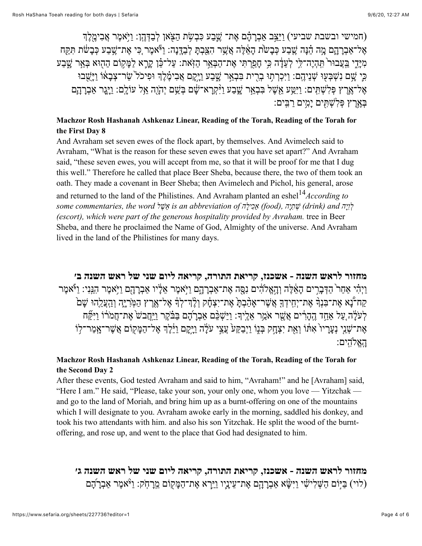(חמישי ובשבת שביעי) וַיַּיֵּצִב אַבְרָהָם אֶת־ שֶׁבַע כִּבְשָׂת הַצִּאן לְבַדְּהֶן: וַיִּאמֶר אֲבִימֶלֶךְ ָאָל־אַבְרָהֶם מֶה הֵ֫נָּה שֶׁבַע כְּבָשׂת הָאֵ֫לֶה אֲשֶׁר הִצַּבְתָּ לְבַדֶּנָה: וַיוֹּאמֶר ְכִּי אֶת־שֶׁבַע כְּבָשׂת תִּקַּח מִיָּדֵי בַּעֲבוּר<sup>י</sup> תִּהְיֶה־לִי לְעֵדָּה כִּי חָפַרְתִּי אֶת־הַבְּאֵֽר הַזְּאת: עַל־כֵּ֫ן קָרֶא לַמָּקוֹם הַהָוּא בְּאֵ֣ר שֶׁבַע ַּבְי ַשָׁם נִשְׁבִּעוּ שִׁנֵיהֵם: וַיִּכְרְתוּ בִרְית בִּבְאֵר שֲבַע וַיַּקֵם אֲבִימֶ֫לֵךְ וּפִיכֹל ְשֲׂר־צִבָאוֹ וַיַּשְׁבוּ ֶאל־ֶ֥אֶרץ ְפּ ִל ְשׁ ִתּֽים: ַויִַּ֥טּע ֵ֖א ֶשׁל ִבּ ְבֵ֣אר ָ֑שׁ ַבע ַו֨יִּ ְקָרא־ ָ֔שׁם ְבּ ֵ֥שׁם יְהָֹ֖וה ֵ֥אל עוָֹלֽם: ַוָיּ֧גָר אַ ְבָרָ֛הם ַבְאֶרֶץ פְּלִשָׁתִּים יַמִים רבִּים:

#### **[Machzor Rosh Hashanah Ashkenaz Linear, Reading of the Torah, Reading of the Torah for](https://www.sefaria.org/Machzor_Rosh_Hashanah_Ashkenaz_Linear,_Reading_of_the_Torah,_Reading_of_the_Torah_for_the_First_Day.8) the First Day 8**

And Avraham set seven ewes of the flock apart, by themselves. And Avimelech said to Avraham, "What is the reason for these seven ewes that you have set apart?" And Avraham said, "these seven ewes, you will accept from me, so that it will be proof for me that I dug this well." Therefore he called that place Beer Sheba, because there, the two of them took an oath. They made a covenant in Beer Sheba; then Avimelech and Pichol, his general, arose

and returned to the land of the Philistines. And Avraham planted an eshel14*According to לְ וִ יָה and) drink (שְׁ תִ יָה ,(food (אַכִ ילָ ה of abbreviation an is אֵ שֶׁ ל word the ,commentaries some (escort), which were part of the generous hospitality provided by Avraham.* tree in Beer Sheba, and there he proclaimed the Name of God, Almighty of the universe. And Avraham lived in the land of the Philistines for many days.

**מחזור לראש השנה - אשכנז, קריאת [התורה](https://www.sefaria.org/Machzor_Rosh_Hashanah_Ashkenaz_Linear,_Reading_of_the_Torah,_Reading_of_the_Torah_for_the_Second_Day.2), קריאה ליום שני של ראש השנה ב׳** ַוְיָהִי אַחַר הַדְּבַרִים הַאֵצְלָה וְהָאֱלֹהֶים נִסַּה אֶת־אַבְרַהֵם וַיִּאמֶר אֲלֵיו אַבְרַהַם וַיִּאמֶר הַנִּנִי: וַיֹּאמֶר קַח־בָּא אֶת־בִּנְךָּ אֶת־יְחִידְךָּ אֲשֶׁר־אָהַבְהָ אֶת־יִצְחָק וְלֶדִ־לְךָ אֶל־אֶרֶץ הַמְּרִיֶּה וְהַצֲלֵהוּ שָׁם לְעַלֶּה עַל אַחָד הֱהַרִּים אֲשֶׁר אַמֶר אַלֵּיִךְ: ויּשָׁכּם אַבְרֹהֶם בּבֹּקֶר וִיּחֲבֹשׁ אֶת־חַמֹּרוֹ ויִקּוּח ָאֶת־שְׁנֵי נְעָרָיו ֹאִתּוֹ וְאֵת יִצְחָק בְּנֶוֹ וַיְבַקַע<sup>ָ</sup> עֲצֵי עַלָּה וַיֵּקָם וַיֵּ֫לֶךְ אֶל־הַמָּקוֹם אֲשֵׁר־אָמַר־לִוֹ האלהים:

#### **[Machzor Rosh Hashanah Ashkenaz Linear, Reading of the Torah, Reading of the Torah for](https://www.sefaria.org/Machzor_Rosh_Hashanah_Ashkenaz_Linear,_Reading_of_the_Torah,_Reading_of_the_Torah_for_the_Second_Day.2) the Second Day 2**

After these events, God tested Avraham and said to him, "Avraham!" and he [Avraham] said, "Here I am." He said, "Please, take your son, your only one, whom you love — Yitzchak and go to the land of Moriah, and bring him up as a burnt-offering on one of the mountains which I will designate to you. Avraham awoke early in the morning, saddled his donkey, and took his two attendants with him. and also his son Yitzchak. He split the wood of the burntoffering, and rose up, and went to the place that God had designated to him.

**מחזור לראש השנה - אשכנז, קריאת [התורה](https://www.sefaria.org/Machzor_Rosh_Hashanah_Ashkenaz_Linear,_Reading_of_the_Torah,_Reading_of_the_Torah_for_the_Second_Day.3), קריאה ליום שני של ראש השנה ג׳** (לוי) בַּיִּוֹם הַשְּׁלִישִׂי וַיִּשָּׂא אַבְרָהָם אֶת־עֵיָנֶיו וַיַּךָא אֶת־הַמָּקוֹם מֵרָחְֹק: וַיֹּּאמֶר אַבְרֹהָם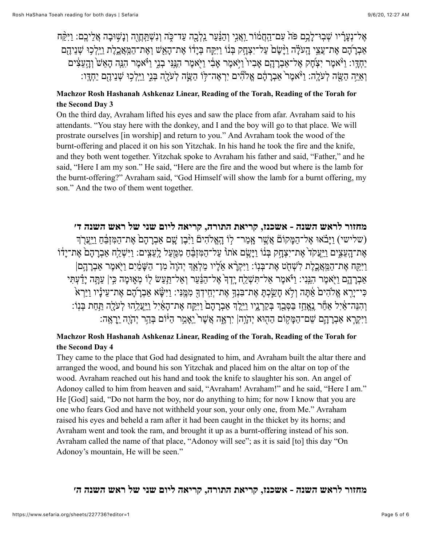ְאֵל־נְעֲרִ֫יוּ שִׁבְוּ־לָבֵֽם פֹּהֹ עָם־הֲחֲמֹוֹר וַאֲנֵי וְהַנֵּ֫עַר נֵקְלָבָה עֲד־כָּה וְנִשְׁתֲחֲוֶה וְנַשִׁוּבָה אֲלֵיבֵם: וַיִּקַּח אַבְרֹהֶם אֶת־עֲצֵי הֲעֹלֵה וַיַּשֶׁם עֲל־יִצְחֱק בְּנוֹ וַיִּקֶח בְּיַדוֹ אֶת־הַאֲשׁ וְאֶת־הַמֵּאֲבֵלֶת וַיֵּלְכְוּ שִׁנֵיהֵם יַחְדָּו: וַיֹּּאמֶר יִצְתָק אֶל־אַבְרָהָם אָבִיו<sup>י</sup> וַיִּאמֶר אָבִ֫י וַיֹּאמֶר הָנֵּנִּי בְנֵי וַיֹּּאמֶר הָגֵּשׁ וְהָעֵצִ֫ים וַאִיּה הַשֵּׂה לְעַלֵה: ו<sup>ַ</sup>ּיֹאמֵר אַבְרַהֶם אֱלֹהים יִרְאֶה־לִּוֹ הַשֵּׂה לְעַלֵה בְּנֵי וִיּלְכְוּ שִׁנִיהֶם יִחֶדֵּו:

#### **[Machzor Rosh Hashanah Ashkenaz Linear, Reading of the Torah, Reading of the Torah for](https://www.sefaria.org/Machzor_Rosh_Hashanah_Ashkenaz_Linear,_Reading_of_the_Torah,_Reading_of_the_Torah_for_the_Second_Day.3) the Second Day 3**

On the third day, Avraham lifted his eyes and saw the place from afar. Avraham said to his attendants. "You stay here with the donkey, and I and the boy will go to that place. We will prostrate ourselves [in worship] and return to you." And Avraham took the wood of the burnt-offering and placed it on his son Yitzchak. In his hand he took the fire and the knife, and they both went together. Yitzchak spoke to Avraham his father and said, "Father," and he said, "Here I am my son." He said, "Here are the fire and the wood but where is the lamb for the burnt-offering?" Avraham said, "God Himself will show the lamb for a burnt offering, my son." And the two of them went together.

# **מחזור לראש השנה - אשכנז, קריאת [התורה](https://www.sefaria.org/Machzor_Rosh_Hashanah_Ashkenaz_Linear,_Reading_of_the_Torah,_Reading_of_the_Torah_for_the_Second_Day.4), קריאה ליום שני של ראש השנה ד׳** (שלישי) וַיַּבֹאוּ אֵל־ הַמֵּקוֹם אֲשֶׁר אַמַר־ לוֹ הַאֱלֹהָים וַיָּבֶן שֵׁם אַבְרַהָם אֵת־הַמִּזְבֶּח וַיִּעֲרֹךְ ָאֶת־הָעֲצִים וַיִּעֲקֹד ֶאֶת־יִצְהֶק בְּנוֹ וַיָּשֶׂם אֹתוֹ עַל־הַמִּזְבֶּׁהַ מִמַּעַל לָעֵצְים: וַיִּשְׁלַח אַבְרָהָם אֶת־יָדוֹ ויִּקְח אֶת־המֵאֱכֵלֶת לִשָּׁחָט אֶת־בִּנְוֹ: ויִּקְרָ֫א אַלָיו מַלְאָדְ יְהֹוָה מן־ הִשֵּׁמִּים ויִּאמֶר אַבְרְהֵם אַבְרַהֵם וַיֹּאמֶר הַנֵּנִי: וַיֹּאמֶר אַל־תִּשָׁלַח יָדָךְ אֶל־הַנַּעַר וְאַל־תַּעֲשׂ לִוֹ מְאִוּמַה כִּי| עַתֲּה יַדַּעִתִּי <sup>ַ</sup> כִּי־יְרֶא אֱלֹהִים ֹאֲתָה וְלָא חָשַׂרְתָּ אֶת־בִּנְךָּ אֶת־יְחִיךְךָּ מִמֶּֽנִּי: וַיִּשָּׂא אַבְרֹדָם אֶת־עֵינָיו וַיַּרְא וְהִנֵּה־אַ֫יִל אַָחַׁר גֶאֱחַז ּבַּסְּבַךְ בְּקַרְנֵיו וַיֵּלֶךְ אַבְרָהָם וַיִּקֵּח אֶת־הָאַ֫יִל וַיַּעֲלֵהוּ לְעֹלֶה תַּחַת בְּנִוֹ: ַוַּיִּקְרָא אַבְרַהֵּם שֵׁם־הַמֵּקוֹם הַהִוּא יִהְוָה| יִרְאֵה אֲשֶׁר יֵאֲמֶר הַיּּוֹם בְּהֵר יִהְוֶה יֵרְאֵה:

#### **[Machzor Rosh Hashanah Ashkenaz Linear, Reading of the Torah, Reading of the Torah for](https://www.sefaria.org/Machzor_Rosh_Hashanah_Ashkenaz_Linear,_Reading_of_the_Torah,_Reading_of_the_Torah_for_the_Second_Day.4) the Second Day 4**

They came to the place that God had designated to him, and Avraham built the altar there and arranged the wood, and bound his son Yitzchak and placed him on the altar on top of the wood. Avraham reached out his hand and took the knife to slaughter his son. An angel of Adonoy called to him from heaven and said, "Avraham! Avraham!" and he said, "Here I am." He [God] said, "Do not harm the boy, nor do anything to him; for now I know that you are one who fears God and have not withheld your son, your only one, from Me." Avraham raised his eyes and beheld a ram after it had been caught in the thicket by its horns; and Avraham went and took the ram, and brought it up as a burnt-offering instead of his son. Avraham called the name of that place, "Adonoy will see"; as it is said [to] this day "On Adonoy's mountain, He will be seen."

### **מחזור לראש השנה - אשכנז, קריאת [התורה](https://www.sefaria.org/Machzor_Rosh_Hashanah_Ashkenaz_Linear,_Reading_of_the_Torah,_Reading_of_the_Torah_for_the_Second_Day.5), קריאה ליום שני של ראש השנה ה׳**